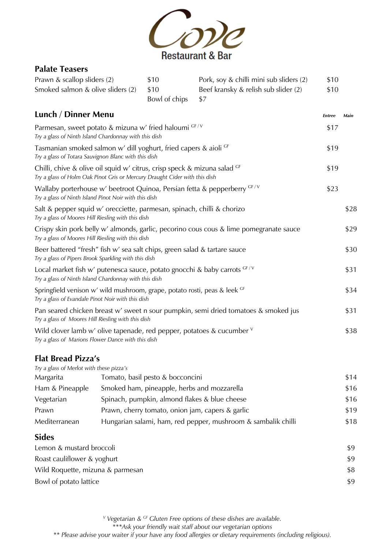

#### Palate Teasers

| Prawn & scallop sliders (2)       | \$10              | Pork, soy & chilli mini sub sliders (2) | \$10 |
|-----------------------------------|-------------------|-----------------------------------------|------|
| Smoked salmon & olive sliders (2) | \$10              | Beef kransky & relish sub slider (2)    | \$10 |
|                                   | Bowl of chips \$7 |                                         |      |

| Lunch / Dinner Menu                                                                                                                                      | <b>Entree</b> | Main |
|----------------------------------------------------------------------------------------------------------------------------------------------------------|---------------|------|
| Parmesan, sweet potato & mizuna w' fried haloumi GF/V<br>Try a glass of Ninth Island Chardonnay with this dish                                           | \$17          |      |
| Tasmanian smoked salmon w' dill yoghurt, fried capers & aioli GF<br>Try a glass of Totara Sauvignon Blanc with this dish                                 | \$19          |      |
| Chilli, chive & olive oil squid w' citrus, crisp speck & mizuna salad $GF$<br>Try a glass of Holm Oak Pinot Gris or Mercury Draught Cider with this dish | \$19          |      |
| Wallaby porterhouse w' beetroot Quinoa, Persian fetta & pepperberry GF/V<br>Try a glass of Ninth Island Pinot Noir with this dish                        | \$23          |      |
| Salt & pepper squid w' orecciette, parmesan, spinach, chilli & chorizo<br>Try a glass of Moores Hill Riesling with this dish                             |               | \$28 |
| Crispy skin pork belly w' almonds, garlic, pecorino cous cous & lime pomegranate sauce<br>Try a glass of Moores Hill Riesling with this dish             |               | \$29 |
| Beer battered "fresh" fish w' sea salt chips, green salad & tartare sauce<br>Try a glass of Pipers Brook Sparkling with this dish                        |               | \$30 |
| Local market fish w' putenesca sauce, potato gnocchi & baby carrots $GF/V$<br>Try a glass of Ninth Island Chardonnay with this dish                      |               | \$31 |
| Springfield venison w' wild mushroom, grape, potato rosti, peas & leek GF<br>Try a glass of Evandale Pinot Noir with this dish                           |               | \$34 |
| Pan seared chicken breast w' sweet n sour pumpkin, semi dried tomatoes & smoked jus<br>Try a glass of Moores Hill Riesling with this dish                |               | \$31 |
| Wild clover lamb w' olive tapenade, red pepper, potatoes & cucumber $V$<br>Try a glass of Marions Flower Dance with this dish                            |               | \$38 |

### Flat Bread Pizza's

| Try a glass of Merlot with these pizza's |                                                               |      |
|------------------------------------------|---------------------------------------------------------------|------|
| Margarita                                | Tomato, basil pesto & bocconcini                              | \$14 |
| Ham & Pineapple                          | Smoked ham, pineapple, herbs and mozzarella                   | \$16 |
| Vegetarian                               | Spinach, pumpkin, almond flakes & blue cheese                 | \$16 |
| Prawn                                    | Prawn, cherry tomato, onion jam, capers & garlic              | \$19 |
| Mediterranean                            | Hungarian salami, ham, red pepper, mushroom & sambalik chilli | \$18 |

### Sides

| <u>,</u>                         |     |
|----------------------------------|-----|
| Lemon & mustard broccoli         | \$9 |
| Roast cauliflower & yoghurt      | \$9 |
| Wild Roquette, mizuna & parmesan | \$8 |
| Bowl of potato lattice           | \$9 |